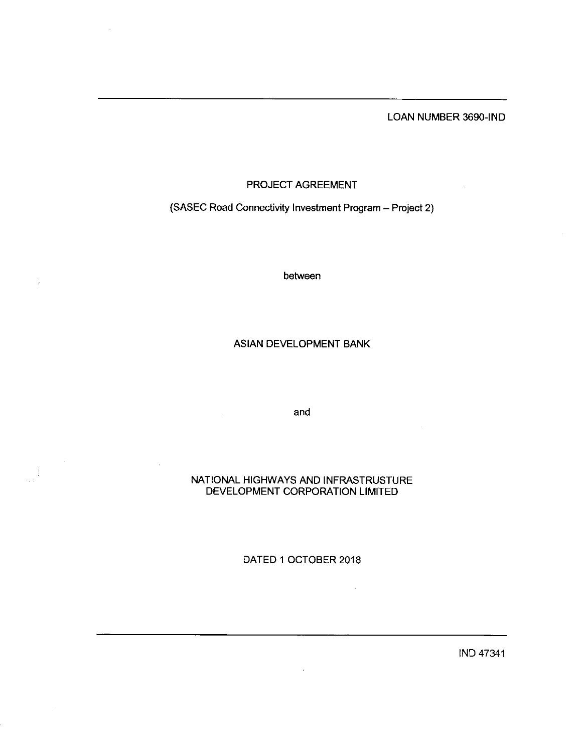### LOAN NUMBER 3690-IND

## PROJECT AGREEMENT

# (SASEC Road Connectivity Investment Program- Project 2)

between

### ASIAN DEVELOPMENT BANK

and

### NATIONAL HIGHWAYS AND INFRASTRUSTURE DEVELOPMENT CORPORATION LIMITED

÷).

DATED 1 0CTOBER 2018

 $\ddot{\phantom{1}}$ 

 $\cdot$ 

IND 47341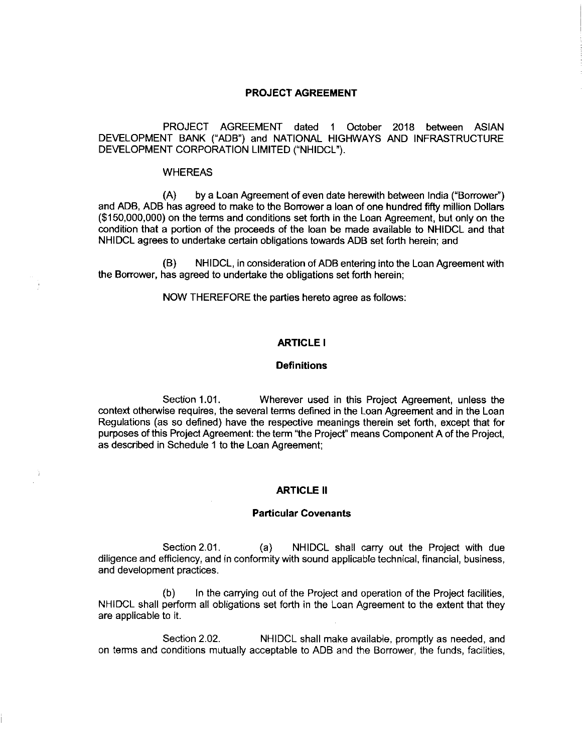### PROJECT AGREEMENT

PROJECT AGREEMENT dated 1 0ctober 2018 between ASIAN DEVELOPMENT BANK ("ADB") and NATIONAL HIGHWAYS AND INFRASTRUCTURE DEVELOPMENT CORPORATION LIMITED("NHIDCL").

### WHEREAS

(A) by a Loan Agreement of even date herewith between India ("Borrower") and ADB, ADB has agreed to make to the Borrower a loan of one hundredfifty million Dollars (\$150,000,000) on the terms and conditions setforth in the Loan Agreement, but only on the condition that a portion of the proceeds of the loan be made available to NHIDCL and that NHIDCL agrees to undertake certain obligations towards ADB setforth herein; and

(B) NHIDCL, in consideration of ADB entering into the Loan Agreement with the Borrower, has agreed to undertake the obligations set forth herein;

NOW THEREFORE the parties hereto agree as follows:

### ARTICLE I

### **Definitions**

Section 1.01. Wherever used in this Project Agreement, unless the context otherwise requires, the several terms defined in the Loan Agreement and in the Loan Regulations (as so defined) have the respective meanings therein set forth, except that for purposes of this Project Agreement: the term "the Project" means Component A of the Project, as described in Schedule 1 to the Loan Agreement;

#### **ARTICLE II**

### Particular Covenants

Section 2.01. (a) NHIDCL shall carry out the Project with due diligence and efficiency, and in conformity with sound applicable technical, financial, business, and development practices.

(b) In the carrying out of the Project and operation of the Project facilities, NHIDCL shall perform all obligations set forth in the Loan Agreement to the extent that they are applicable to it.

Section 2.02. NHIDCL shall make available, promptly as needed, and on terms and conditions mutually acceptable to ADB and the Borrower, the funds, facilities,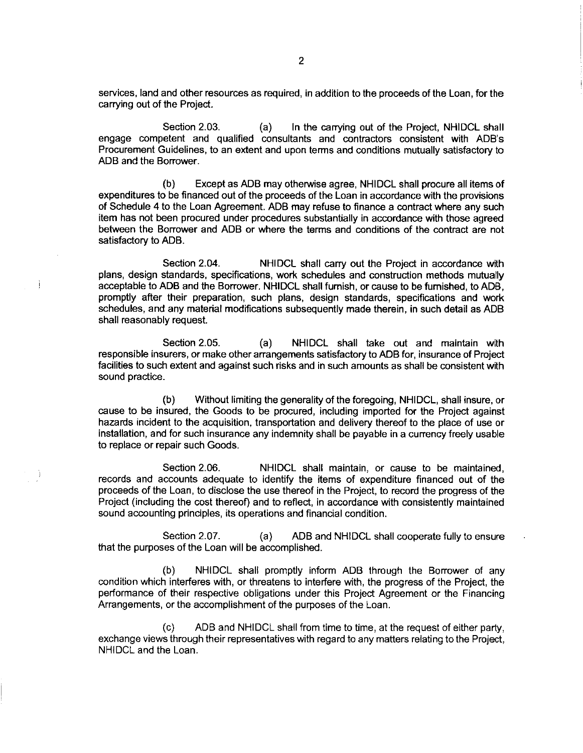services, land and other resources as required, in addition to the proceeds of the Loan, for the carrying out of the Project.

Section 2.03. (a) In the carrying out of the Project, NHIDCL shall engage competent and qualified consultants and contractors consistent with ADB's Procurement Guidelines, to an extent and upon terms and conditions mutually satisfactory to ADB and the Borrower.

(b) Except as ADB may otherwise agree, NHIDCL shall procure all items of expenditures to be financed out of the proceeds of the Loan in accordance with the provisions of Schedule 4 to the Loan Agreement. ADB may refuse to finance a contract where any such item has not been procured under procedures substantially in accordance with those agreed between the Borrower and ADB or where the terms and conditions of the contract are not satisfactory to ADB.

Section 2.04. NHIDCL shall carry out the Project in accordance with plans, design standards, specifications, work schedules and construction methods mutually acceptable to ADB and the Borrower. NHIDCL shall furnish, or cause to be furnished, to ADB, promptly after their preparation, such plans, design standards, specifications and work schedules, and any material modifications subsequently made therein, in such detail as ADB shall reasonably request.

Section 2.05. (a) NHIDCL shall take out and maintain with responsible insurers, or make other arrangements satisfactory to ADB for, insurance of Project facilities to such extent and against such risks and in such amounts as shall be consistent with sound practice.

(b) Without limiting the generality of theforegoing, NHIDCL, shall insure, or cause to be insured, the Goods to be procured, including imported for the Project against hazards incident to the acquisition, transportation and delivery thereof to the place of use or installation, and for such insurance any indemnity shall be payable in a currency freely usable to replace or repair such Goods.

Section 2.06. NHIDCL shall maintain, or cause to be maintained, records and accounts adequate to identify the items of expenditure financed out of the proceeds of the Loan, to disclose the use thereof in the Project, to record the progress of the Project (including the cost thereof) and to reflect, in accordance with consistently maintained sound accounting principles, its operations and financial condition.

- j

Section 2.07. (a) ADB and NHIDCL shall cooperate fully to ensure that the purposes of the Loan will be accomplished.

(b) NHIDCL shall promptly inform ADB through the Borrower of any condition which interferes with, or threatens to interfere with, the progress of the Project, the performance of their respective obligations under this Project Agreement or the Financing Arrangements, or the accomplishment of the purposes of the Loan.

(c) ADB and NHIDCL shall from time to time, at the request of either party, exchange views through their representatives with regard to any matters relating to the Project, NHIDCL and the Loan.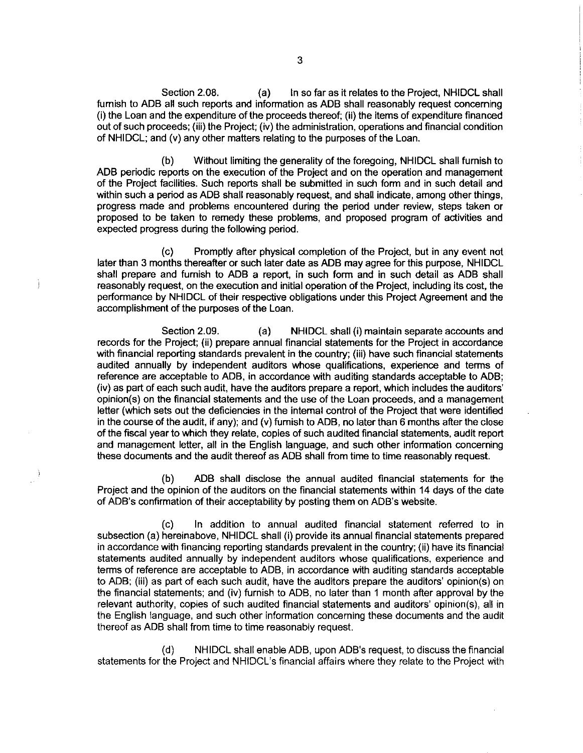Section 2.08. (a) ln so far as it relates to the Project, NHIDCL shall furnish to ADB all such reports and information as ADB shall reasonably request concerning (i) the Loan and the expenditure of the proceeds thereof; (ii) the items of expenditure financed out of such proceeds; (iii) the Project; (iv) the administration, operations and financial condition of NHIDCL; and (v) any other matters relating to the purposes of the Loan.

(b) Without limiting the generality of the foregoing, NHIDCL shall furnish to ADB periodic reports on the execution of the Project and on the operation and management of the Project facilities. Such reports shall be submitted in such form and in such detail and within such a period as ADB shall reasonably request, and shall indicate, among other things, progress made and problems encountered during the period under review, steps taken or proposed to be taken to remedy these problems, and proposed program of activities and expected progress during the following period.

(c) Promptly after physical completion of the Project, but in any event not later than 3 months thereafter or such later date as ADB may agree for this purpose, NHIDCL shall prepare and furnish to ADB a report, in such form and in such detail as ADB shall reasonably request, on the execution and initial operation of the Project, including its cost, the performance by NHIDCL of their respective obligations under this Project Agreement and the accomplishment of the purposes of the Loan.

J

Section 2.09. (a) NHIDCL shall(i) maintain separate accounts and records for the Project; (ii) prepare annual financial statements for the Project in accordance with financial reporting standards prevalent in the country; (iii) have such financial statements audited annually by independent auditors whose qualifications, experience and terms of reference are acceptable to ADB, in accordance with auditing standards acceptable to ADB; (iv) as part of each such audit, have the auditors prepare a report, which includes the auditors' opinion(s) on the financial statements and the use of the Loan proceeds, and a management letter (which sets out the deficiencies in the internal control of the Project that were identified in the course of the audit, if any); and (v) furnish to ADB, no later than 6 months after the close of the fiscal year to which they relate, copies of such audited financial statements, audit report and management letter, all in the English language, and such other information concerning these documents and the audit thereof as ADB shall from time to time reasonably request.

(b) ADB shall disclose the annual audited financial statements for the Project and the opinion of the auditors on the financial statements within 14 days of the date of ADB's confirmation of their acceptability by posting them on ADB's website.

(c) In addition to annual audited financial statement referred to in subsection (a) hereinabove, NHIDCL shall (i) provide its annual financial statements prepared in accordance with financing reporting standards prevalent in the country; (ii) have its financial statements audited annually by independent auditors whose qualifications, experience and terms of reference are acceptable to ADB, in accordance with auditing standards acceptable to ADB; (iii) as part of each such audit, have the auditors prepare the auditors' opinion(s) on the financial statements; and (iv) furnish to ADB, no later than 1 month after approval by the relevant authority, copies of such audited financial statements and auditors' opinion(s), all in the English language, and such other information concerning these documents and the audit thereof as ADB shall from time to time reasonably request.

(d) NHIDCL shall enable ADB, upon ADB's request, to discuss thefinancial statements for the Project and NHIDCL's financial affairs where they relate to the Project with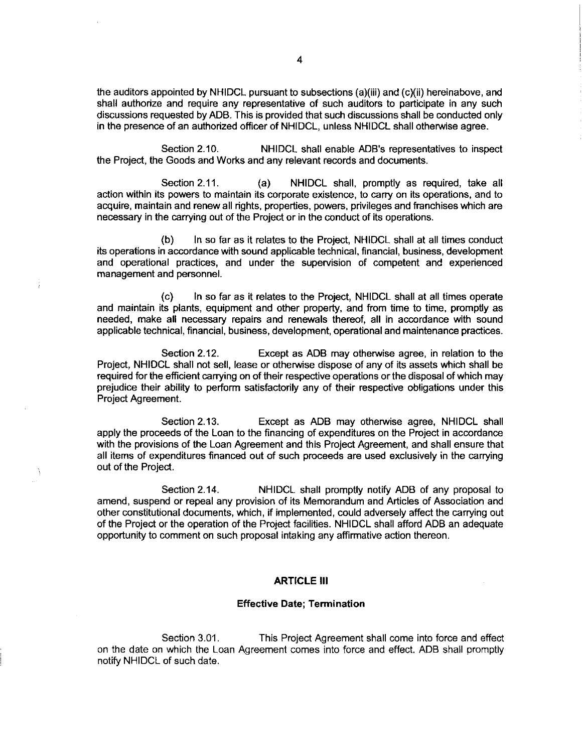the auditors appointed by NHIDCL pursuant to subsections(a)(iii) and(c)(ii) hereinabove, and shall authorize and require any representative of such auditors to participate in any such discussions requested by ADB. This is provided that such discussions shall be conducted only in the presence of an authorized officer of NHIDCL, unless NHIDCL shall otherwise agree.

Section 2.10. NHIDCL shall enable ADB's representatives to inspect the Project, the Goods and Works and any relevant records and documents.

Section 2.11. (a) NHIDCL shall, promptly as required, take all action within its powers to maintain its corporate existence, to carry on its operations, and to acquire, maintain and renew all rights, properties, powers, privileges and franchises which are necessary in the carrying out of the Prolect or in the conduct of its operations.

(b) In so far as it relates to the Project, NHIDCL shall at all times conduct its operations in accordance with sound applicable technical, financial, business, development and operational practices, and under the supervision of competent and experienced management and personnel.

(c) In sofar as it relates to the Project, NHIDCL shall at all times operate and maintain its plants, equipment and other property, and from time to time, promptly as needed, make all necessary repairs and renewals thereof, all in accordance with sound applicable technical, financial, business, development, operational and maintenance practices.

Section 2.12. Except as ADB may otherwise agree, in relation to the Project, NHIDCL shall not sell, lease or otherwise dispose of any of its assets which shall be required for the efficient carrying on of their respective operations or the disposal of which may prejudice their ability to perform satisfactorily any of their respective obligations under this Project Agreement.

Section 2.13. Except as ADB may otherwise agree, NHIDCL shall apply the proceeds of the Loan to the financing of expenditures on the Project in accordance with the provisions of the Loan Agreement and this Project Agreement, and shall ensure that all items of expenditures financed out of such proceeds are used exclusively in the carrying out of the Project.

Section 2.14. NHIDCL shall promptly notify ADB of any proposal to amend, suspend or repeal any provision of its Memorandum and Articles of Association and other constitutional documents, which, if implemented, could adversely affect the carrying out of the Project or the operation of the Project facilities. NHIDCL shall afford ADB an adequate opportunity to comment on such proposal intaking any affirmative action thereon.

### **ARTICLE III**

### Effective Date; Termination

Section 3.01. This Project Agreement shall come into force and effect on the date on which the Loan Agreement comes into force and effect. ADB shall promptly notify NHIDCL of such date.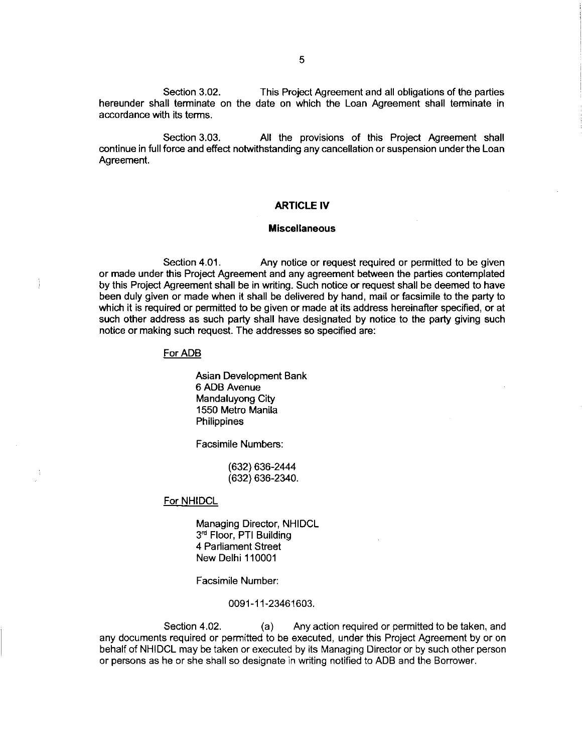Section 3.02. hereunder shall terminate on the date on which the Loan Agreement shall terminate in accordance with its terms. This Project Agreement and all obligations of the parties

Section 3.03. All the provisions of this Project Agreement shall continue in full force and effect notwithstanding any cancellation or suspension under the Loan Agreement.

### ARTICLE IV

#### **Miscellaneous**

Section 4.01. Any notice or request required or permitted to be given or made under this Project Agreement and any agreement between the parties contemplated by this Project Agreement shall be in writing. Such notice or request shall be deemed to have been duly given or made when it shall be delivered by hand, mail or facsimile to the party to which it is required or permitted to be given or made at its address hereinafter specified, or at such other address as such party shall have designated by notice to the party giving such notice or making such request. The addresses so specified are:

### For ADB

Asian Development Bank 6 ADB Avenue Mandaluyong City 1550 Metro Manila **Philippines** 

Facsimile Numbers:

(632) 636-2444 (632) 636- 2340.

### For NHIDCL

Managing Director, NHIDCL 3<sup>rd</sup> Floor, PTI Building 4 Parliament Street New Delhi 110001

Facsimile Number:

### 0091-11-23461603.

Section 4.02. (a) Any action required or permitted to be taken, and any documents required or permitted to be executed, under this Prolect Agreement by or on behalf of NHIDCL may be taken or executed by its Managing Director or by such other person or persons as he or she shall so designate in writing notified to ADB and the Borrower.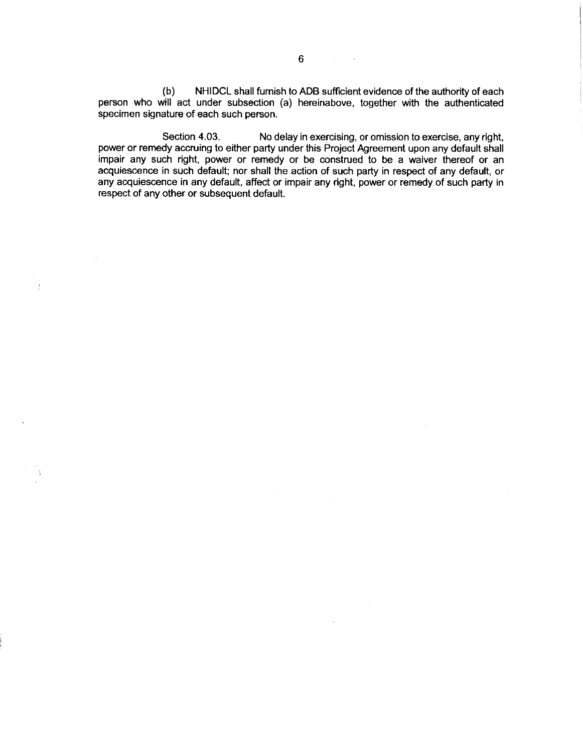(b) NHIDCL shall furnish to ADB sufficient evidence of the authority of each person who will act under subsection (a) hereinabove, together with the authenticated specimen signature of each such person.

Section 4.03. No delay in exercising, or omission to exercise, any right, power or remedy accruing to either party under this Project Agreement upon any default shall impair any such right, power or remedy or be construed to be a waiver thereof or an acquiescence in such default; nor shall the action of such party in respect of any default, or any acquiescence in any default, affect or impair any right, power or remedy of such party in respect of any other or subsequent default.

 $\sim$